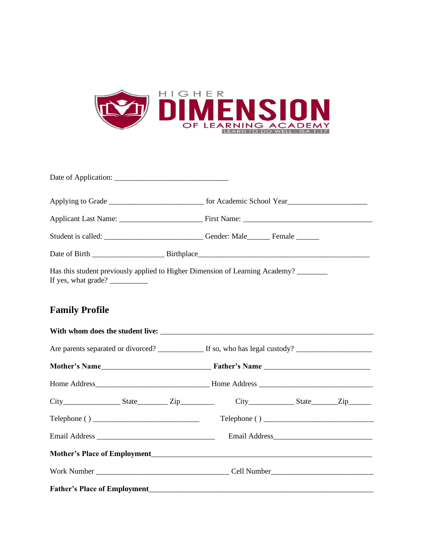

| Student is called: ____________________________Gender: Male________Female ______                    |  |  |  |
|-----------------------------------------------------------------------------------------------------|--|--|--|
|                                                                                                     |  |  |  |
| Has this student previously applied to Higher Dimension of Learning Academy?<br>If yes, what grade? |  |  |  |

### **Family Profile**

| City_____________________State____________Zip___________________City_______________State_______Zip________ |  |  |  |  |
|------------------------------------------------------------------------------------------------------------|--|--|--|--|
|                                                                                                            |  |  |  |  |
|                                                                                                            |  |  |  |  |
|                                                                                                            |  |  |  |  |
|                                                                                                            |  |  |  |  |
|                                                                                                            |  |  |  |  |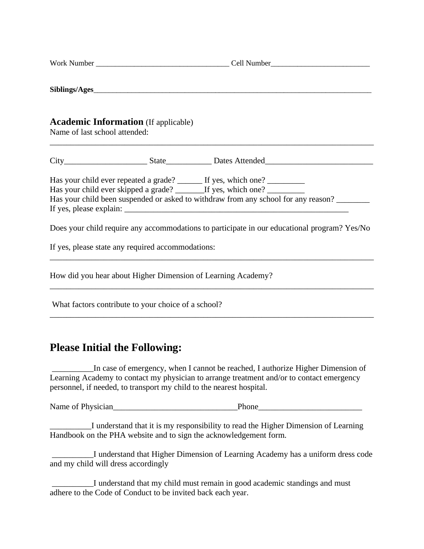| <b>Academic Information</b> (If applicable)<br>Name of last school attended:                                                                                                                                                                   |  |  |  |
|------------------------------------------------------------------------------------------------------------------------------------------------------------------------------------------------------------------------------------------------|--|--|--|
|                                                                                                                                                                                                                                                |  |  |  |
| Has your child ever repeated a grade? ______ If yes, which one? _________<br>Has your child ever skipped a grade? ________If yes, which one? ___________<br>Has your child been suspended or asked to withdraw from any school for any reason? |  |  |  |
| Does your child require any accommodations to participate in our educational program? Yes/No                                                                                                                                                   |  |  |  |
| If yes, please state any required accommodations:                                                                                                                                                                                              |  |  |  |
| How did you hear about Higher Dimension of Learning Academy?                                                                                                                                                                                   |  |  |  |
| What factors contribute to your choice of a school?                                                                                                                                                                                            |  |  |  |

### **Please Initial the Following:**

\_\_\_\_\_\_\_\_\_\_In case of emergency, when I cannot be reached, I authorize Higher Dimension of Learning Academy to contact my physician to arrange treatment and/or to contact emergency personnel, if needed, to transport my child to the nearest hospital.

Name of Physician\_\_\_\_\_\_\_\_\_\_\_\_\_\_\_\_\_\_\_\_\_\_\_\_\_\_\_\_\_\_Phone\_\_\_\_\_\_\_\_\_\_\_\_\_\_\_\_\_\_\_\_\_\_\_\_\_

\_\_\_\_\_\_\_\_\_\_I understand that it is my responsibility to read the Higher Dimension of Learning Handbook on the PHA website and to sign the acknowledgement form.

\_\_\_\_\_\_\_\_\_\_I understand that Higher Dimension of Learning Academy has a uniform dress code and my child will dress accordingly

\_\_\_\_\_\_\_\_\_\_I understand that my child must remain in good academic standings and must adhere to the Code of Conduct to be invited back each year.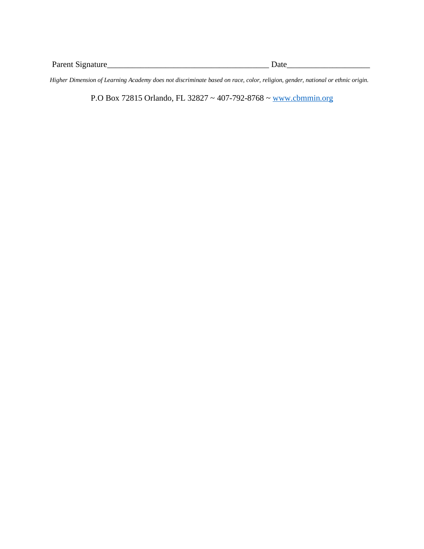Parent Signature\_\_\_\_\_\_\_\_\_\_\_\_\_\_\_\_\_\_\_\_\_\_\_\_\_\_\_\_\_\_\_\_\_\_\_\_\_\_\_ Date\_\_\_\_\_\_\_\_\_\_\_\_\_\_\_\_\_\_\_\_

*Higher Dimension of Learning Academy does not discriminate based on race, color, religion, gender, national or ethnic origin.*

P.O Box 72815 Orlando, FL 32827 ~ 407-792-8768 ~ [www.cbmmin.org](http://www.cbmmin.org/)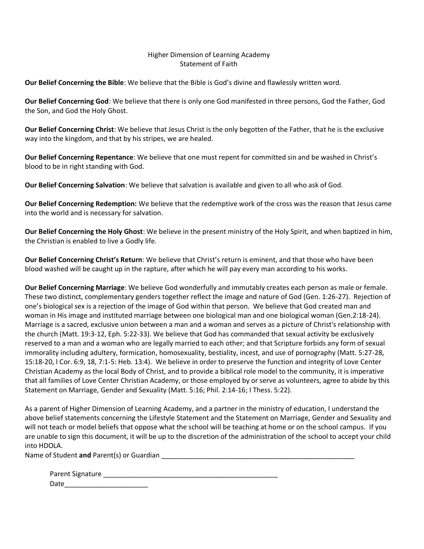#### Higher Dimension of Learning Academy Statement of Faith

**Our Belief Concerning the Bible**: We believe that the Bible is God's divine and flawlessly written word.

**Our Belief Concerning God**: We believe that there is only one God manifested in three persons, God the Father, God the Son, and God the Holy Ghost.

**Our Belief Concerning Christ**: We believe that Jesus Christ is the only begotten of the Father, that he is the exclusive way into the kingdom, and that by his stripes, we are healed.

**Our Belief Concerning Repentance**: We believe that one must repent for committed sin and be washed in Christ's blood to be in right standing with God.

**Our Belief Concerning Salvation**: We believe that salvation is available and given to all who ask of God.

**Our Belief Concerning Redemption:** We believe that the redemptive work of the cross was the reason that Jesus came into the world and is necessary for salvation.

**Our Belief Concerning the Holy Ghost**: We believe in the present ministry of the Holy Spirit, and when baptized in him, the Christian is enabled to live a Godly life.

**Our Belief Concerning Christ's Return**: We believe that Christ's return is eminent, and that those who have been blood washed will be caught up in the rapture, after which he will pay every man according to his works.

**Our Belief Concerning Marriage**: We believe God wonderfully and immutably creates each person as male or female. These two distinct, complementary genders together reflect the image and nature of God (Gen. 1:26-27). Rejection of one's biological sex is a rejection of the image of God within that person. We believe that God created man and woman in His image and instituted marriage between one biological man and one biological woman (Gen.2:18-24). Marriage is a sacred, exclusive union between a man and a woman and serves as a picture of Christ's relationship with the church (Matt. 19:3-12, Eph. 5:22-33). We believe that God has commanded that sexual activity be exclusively reserved to a man and a woman who are legally married to each other; and that Scripture forbids any form of sexual immorality including adultery, formication, homosexuality, bestiality, incest, and use of pornography (Matt. 5:27-28, 15:18-20, l Cor. 6:9, 18, 7:1-5: Heb. 13:4). We believe in order to preserve the function and integrity of Love Center Christian Academy as the local Body of Christ, and to provide a biblical role model to the community, it is imperative that all families of Love Center Christian Academy, or those employed by or serve as volunteers, agree to abide by this Statement on Marriage, Gender and Sexuality (Matt. 5:16; Phil. 2:14-16; I Thess. 5:22).

As a parent of Higher Dimension of Learning Academy, and a partner in the ministry of education, I understand the above belief statements concerning the Lifestyle Statement and the Statement on Marriage, Gender and Sexuality and will not teach or model beliefs that oppose what the school will be teaching at home or on the school campus. If you are unable to sign this document, it will be up to the discretion of the administration of the school to accept your child into HDOLA.

Name of Student **and** Parent(s) or Guardian

| Parent Signature |  |
|------------------|--|
| Date             |  |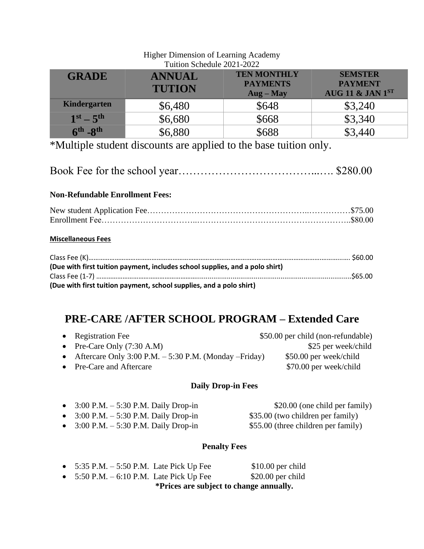| THERE DRIVING OF LOADING TRANSITY |               |                                       |                                  |  |  |
|-----------------------------------|---------------|---------------------------------------|----------------------------------|--|--|
| Tuition Schedule 2021-2022        |               |                                       |                                  |  |  |
| <b>GRADE</b><br><b>ANNUAL</b>     |               | <b>TEN MONTHLY</b><br><b>PAYMENTS</b> | <b>SEMSTER</b><br><b>PAYMENT</b> |  |  |
|                                   | <b>TUTION</b> | $\bf{Aug - May}$                      | AUG 11 & JAN 1ST                 |  |  |
| Kindergarten                      | \$6,480       | \$648                                 | \$3,240                          |  |  |
| $1st - 5th$                       | \$6,680       | \$668                                 | \$3,340                          |  |  |
| $6th - 8th$                       | \$6,880       | \$688                                 | \$3,440                          |  |  |

# Higher Dimension of Learning Academy

\*Multiple student discounts are applied to the base tuition only.

|--|--|--|

### **Non-Refundable Enrollment Fees:**

### **Miscellaneous Fees**

| (Due with first tuition payment, includes school supplies, and a polo shirt) |  |
|------------------------------------------------------------------------------|--|
|                                                                              |  |
| (Due with first tuition payment, school supplies, and a polo shirt)          |  |

## **PRE-CARE /AFTER SCHOOL PROGRAM – Extended Care**

| • Registration Fee                                          | \$50.00 per child (non-refundable) |
|-------------------------------------------------------------|------------------------------------|
| • Pre-Care Only $(7:30 \text{ A.M})$                        | \$25 per week/child                |
| • Aftercare Only 3:00 P.M. $-5:30$ P.M. (Monday $-Friday$ ) | \$50.00 per week/child             |
| • Pre-Care and Aftercare                                    | \$70.00 per week/child             |

### **Daily Drop-in Fees**

| • $3:00 \text{ P.M.} - 5:30 \text{ P.M.}$ Daily Drop-in | \$20.00 (one child per family)      |
|---------------------------------------------------------|-------------------------------------|
| • $3:00 \text{ P.M.} - 5:30 \text{ P.M.}$ Daily Drop-in | \$35.00 (two children per family)   |
| • $3:00 \text{ P.M.} - 5:30 \text{ P.M.}$ Daily Drop-in | \$55.00 (three children per family) |

### **Penalty Fees**

| *Prices are subject to change annually.                    |  |                    |
|------------------------------------------------------------|--|--------------------|
| • $5:50 \text{ P.M.} - 6:10 \text{ P.M.}$ Late Pick Up Fee |  | $$20.00$ per child |
| • $5:35$ P.M. $-5:50$ P.M. Late Pick Up Fee                |  | $$10.00$ per child |